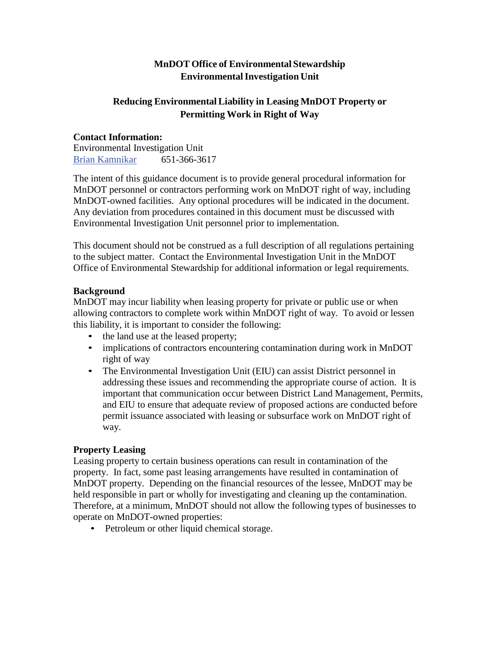# **MnDOT Office of Environmental Stewardship EnvironmentalInvestigation Unit**

## **Reducing EnvironmentalLiability in Leasing MnDOT Property or Permitting Work in Right of Way**

### **Contact Information:**

Environmental Investigation Unit Brian Kamnikar 651-366-3617

The intent of this guidance document is to provide general procedural information for MnDOT personnel or contractors performing work on MnDOT right of way, including MnDOT-owned facilities. Any optional procedures will be indicated in the document. Any deviation from procedures contained in this document must be discussed with Environmental Investigation Unit personnel prior to implementation.

This document should not be construed as a full description of all regulations pertaining to the subject matter. Contact the Environmental Investigation Unit in the MnDOT Office of Environmental Stewardship for additional information or legal requirements.

### **Background**

MnDOT may incur liability when leasing property for private or public use or when allowing contractors to complete work within MnDOT right of way. To avoid or lessen this liability, it is important to consider the following:

- the land use at the leased property;
- implications of contractors encountering contamination during work in MnDOT right of way
- The Environmental Investigation Unit (EIU) can assist District personnel in addressing these issues and recommending the appropriate course of action. It is important that communication occur between District Land Management, Permits, and EIU to ensure that adequate review of proposed actions are conducted before permit issuance associated with leasing or subsurface work on MnDOT right of way.

### **Property Leasing**

Leasing property to certain business operations can result in contamination of the property. In fact, some past leasing arrangements have resulted in contamination of MnDOT property. Depending on the financial resources of the lessee, MnDOT may be held responsible in part or wholly for investigating and cleaning up the contamination. Therefore, at a minimum, MnDOT should not allow the following types of businesses to operate on MnDOT-owned properties:

• Petroleum or other liquid chemical storage.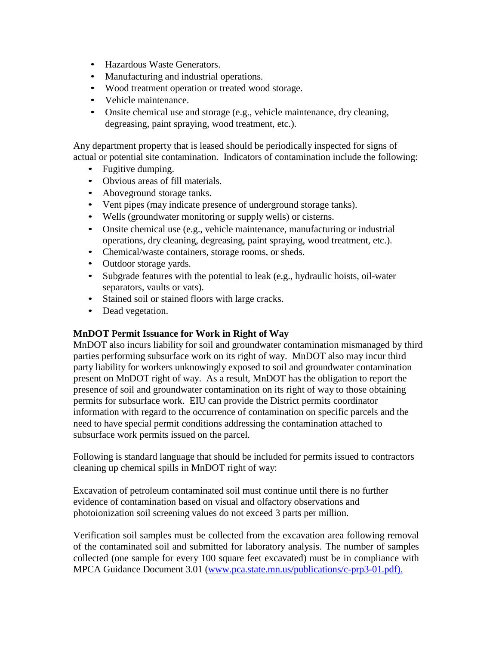- Hazardous Waste Generators.
- Manufacturing and industrial operations.
- Wood treatment operation or treated wood storage.
- Vehicle maintenance.
- Onsite chemical use and storage (e.g., vehicle maintenance, dry cleaning, degreasing, paint spraying, wood treatment, etc.).

Any department property that is leased should be periodically inspected for signs of actual or potential site contamination. Indicators of contamination include the following:

- Fugitive dumping.
- Obvious areas of fill materials.
- Aboveground storage tanks.
- Vent pipes (may indicate presence of underground storage tanks).
- Wells (groundwater monitoring or supply wells) or cisterns.
- Onsite chemical use (e.g., vehicle maintenance, manufacturing or industrial operations, dry cleaning, degreasing, paint spraying, wood treatment, etc.).
- Chemical/waste containers, storage rooms, or sheds.
- Outdoor storage yards.
- Subgrade features with the potential to leak (e.g., hydraulic hoists, oil-water separators, vaults or vats).
- Stained soil or stained floors with large cracks.
- Dead vegetation.

#### **MnDOT Permit Issuance for Work in Right of Way**

MnDOT also incurs liability for soil and groundwater contamination mismanaged by third parties performing subsurface work on its right of way. MnDOT also may incur third party liability for workers unknowingly exposed to soil and groundwater contamination present on MnDOT right of way. As a result, MnDOT has the obligation to report the presence of soil and groundwater contamination on its right of way to those obtaining permits for subsurface work. EIU can provide the District permits coordinator information with regard to the occurrence of contamination on specific parcels and the need to have special permit conditions addressing the contamination attached to subsurface work permits issued on the parcel.

Following is standard language that should be included for permits issued to contractors cleaning up chemical spills in MnDOT right of way:

Excavation of petroleum contaminated soil must continue until there is no further evidence of contamination based on visual and olfactory observations and photoionization soil screening values do not exceed 3 parts per million.

Verification soil samples must be collected from the excavation area following removal of the contaminated soil and submitted for laboratory analysis. The number of samples collected (one sample for every 100 square feet excavated) must be in compliance with MPCA Guidance Document 3.01 [\(www.pca.state.mn.us/publications/c-prp3-01.pdf\).](http://www.pca.state.mn.us/publications/c-prp3-01.pdf).)